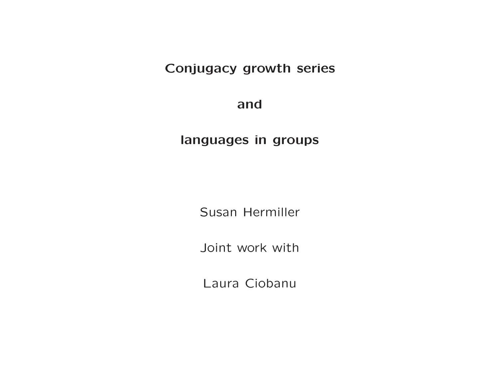# Conjugacy growth series

and

languages in groups

Susan Hermiller

Joint work with

Laura Ciobanu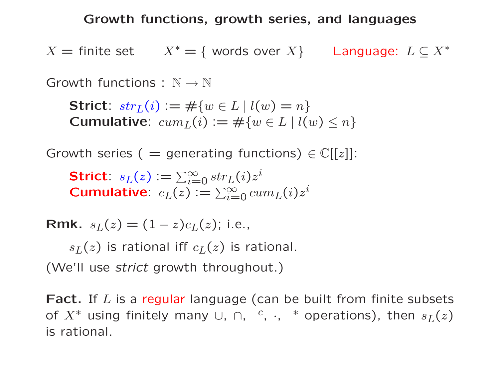Growth functions, growth series, and languages

 $X =$  finite set  $X^* = \{$  words over  $X\}$  Language:  $L \subseteq X^*$ 

Growth functions :  $\mathbb{N} \to \mathbb{N}$ 

Strict:  $str_L(i) := \#\{w \in L \mid l(w) = n\}$ Cumulative:  $cum_L(i) := \#\{w \in L \mid l(w) \leq n\}$ 

Growth series (  $=$  generating functions)  $\in \mathbb{C}[[z]]$ :

Strict:  $s_L(z) \mathrel{\mathop:}= \sum_{i=1}^\infty$  $\sum\limits_{i=0}^{\infty} str_L(i) z^i$ Strict.  $s_L(z) := \sum_{i=0}^{z_U} \sum_{s=0}^{z_U} c u m_L(i) z^i$ 

 $\textsf{Rmk.}\ \ s_L(z) = (1-z)c_L(z); \ \text{i.e.,}$ 

 $s_L(z)$  is rational iff  $c_L(z)$  is rational.

(We'll use *strict* growth throughout.)

Fact. If  $L$  is a regular language (can be built from finite subsets of  $X^*$  using finitely many  $\cup$ ,  $\cap$ ,  $\frac{c}{\cdot}$ ,  $\cdot$ ,  $\frac{*}{\cdot}$  operations), then  $s_L(z)$ is rational.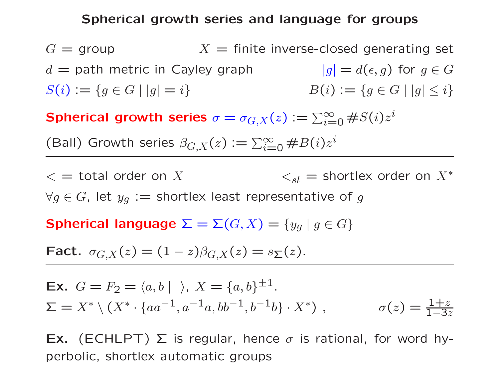## Spherical growth series and language for groups

 $G = \text{group}$  $X =$  finite inverse-closed generating set  $d =$  path metric in Cayley graph  $d(\epsilon,g)$  for  $g\in G$  $S(i) := \{ g \in G \mid |g| = i \}$  $B(i) := \{ g \in G \mid |g| \leq i \}$ 

Spherical growth series  $\sigma=$  $\sigma_{G,X}(z) \mathrel{\mathop:}= \sum_{i=1}^\infty$  $\sum\limits_{i=0}^{\infty} \#S(i)z^i$ 

(Ball) Growth series  $\beta_{G,X}(z) \mathrel{\mathop:}= \sum_{i=1}^\infty$  $\sum_{i=0}^{\infty} \#B(i)z^i$ 

 $\zeta =$  total order on X  $\zeta_{sl}$  = shortlex order on  $X^*$  $\forall g \in G$ , let  $y_g :=$  shortlex least representative of  $g$ 

Spherical language  $\Sigma = \Sigma(G,X) = \{y_g \mid g \in G\}$ 

Fact.  $\sigma_{G,X}(z) = (1-z)\beta_{G,X}(z) = s_{\Sigma}(z)$ .

**Ex.** 
$$
G = F_2 = \langle a, b | \rangle
$$
,  $X = \{a, b\}^{\pm 1}$ .  
\n $\Sigma = X^* \setminus (X^* \cdot \{aa^{-1}, a^{-1}a, bb^{-1}, b^{-1}b\} \cdot X^*)$ ,  $\sigma(z) = \frac{1+z}{1-3z}$ 

**Ex.** (ECHLPT)  $\Sigma$  is regular, hence  $\sigma$  is rational, for word hyperbolic, shortlex automatic groups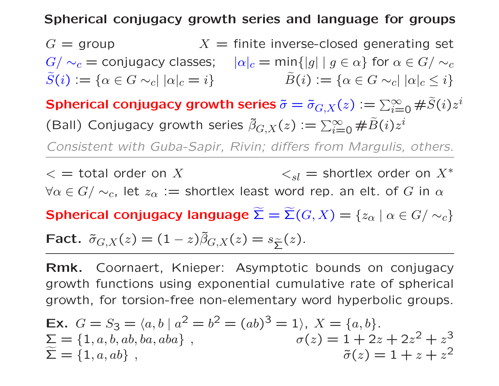# Spherical conjugacy growth series and language for groups

 $G =$  group  $X =$  finite inverse-closed generating set  $G/\sim_c =$  conjugacy classes;  $\quad |\alpha|_c = \min\{|g| \mid g \in \alpha\}$  for  $\alpha \in G/\sim_c$  $\widetilde{S}(i) := \{ \alpha \in G \sim_c | |\alpha|_c = i \}$   $\widetilde{B}(i) := \{ \alpha \in G \sim_c | |\alpha|_c \leq i \}$ Spherical conjugacy growth series  $\tilde{\sigma} = \tilde{\sigma}_{G,X}(z) \vcentcolon= \sum_{i=1}^\infty \sigma_i$  $\sum\limits_{i=0}^{\infty}\# \widetilde{S}(i)z^i$ (Ball) Conjugacy growth series  $\tilde{\beta}_{G,X}(z) := \sum_{i=1}^{\infty}$  $\sum\limits_{i=0}^{\infty}\# \widetilde{B}(i)z^i$ *Consistent with Guba-Sapir, Rivin; differs from Margulis, others.*  $\langle x \rangle = 1$  total order on X  $\langle s_l |$  = shortlex order on  $X^*$  $\forall \alpha \in G/\sim_c$ , let  $z_\alpha :=$  shortlex least word rep. an elt. of  $G$  in  $\alpha$ Spherical conjugacy language  $\widetilde{\mathbf{\Sigma}}=\widetilde{\mathbf{\Sigma}}(G,X)=\{z_{\alpha}\mid \alpha\in G/\sim_{c}\}$ Fact.  $\tilde{\sigma}_{G,X}(z)=(1-z)\tilde{\beta}_{G,X}(z)=s_{\widetilde{\Sigma}}(z).$ 

Rmk. Coornaert, Knieper: Asymptotic bounds on conjugacy growth functions using exponential cumulative rate of spherical growth, for torsion-free non-elementary word hyperbolic groups.

**Ex.** 
$$
G = S_3 = \langle a, b \mid a^2 = b^2 = (ab)^3 = 1 \rangle
$$
,  $X = \{a, b\}$ .  
\n $\sum = \{1, a, b, ab, ba, aba\}$ ,  $\sigma(z) = 1 + 2z + 2z^2 + z^3$   
\n $\tilde{\Sigma} = \{1, a, ab\}$ ,  $\tilde{\sigma}(z) = 1 + z + z^2$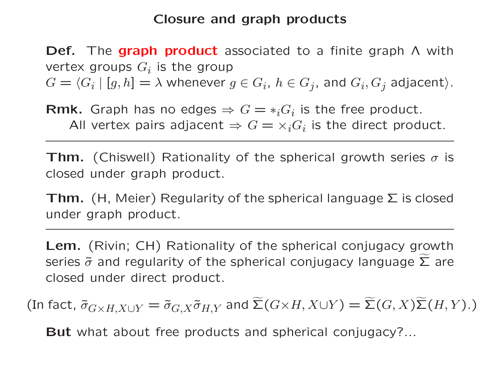# Closure and graph products

Def. The graph product associated to a finite graph Λ with vertex groups  $G_i$  is the group  $G = \langle G_i | [g, h] = \lambda$  whenever  $g \in G_i$ ,  $h \in G_j$ , and  $G_i$ ,  $G_j$  adjacent).

**Rmk.** Graph has no edges  $\Rightarrow G = *_i G_i$  is the free product. All vertex pairs adjacent  $\Rightarrow G = \times_i G_i$  is the direct product.

**Thm.** (Chiswell) Rationality of the spherical growth series  $\sigma$  is closed under graph product.

**Thm.** (H, Meier) Regularity of the spherical language  $\Sigma$  is closed under graph product.

Lem. (Rivin; CH) Rationality of the spherical conjugacy growth series  $\tilde{\sigma}$  and regularity of the spherical conjugacy language  $\widetilde{\Sigma}$  are closed under direct product.

(In fact,  $\tilde{\sigma}_{G\times H, X\cup Y}=\tilde{\sigma}_{G, X}\tilde{\sigma}_{H, Y}$  and  $\widetilde{\Sigma}(G\times H, X\cup Y)=\widetilde{\Sigma}(G, X)\widetilde{\Sigma}(H, Y).$  )

But what about free products and spherical conjugacy?...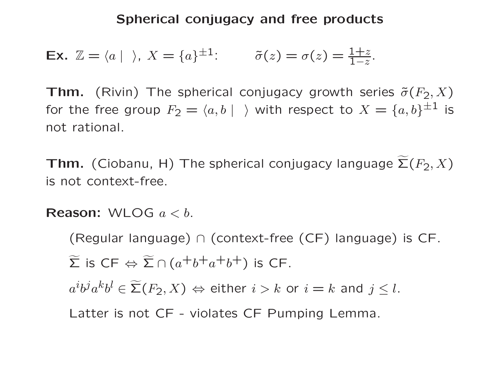Ex.  $\mathbb{Z} = \langle a | \rangle$ ,  $X = \{a\}^{\pm 1}$ :  $\qquad \tilde{\sigma}(z) = \sigma(z) = \frac{1+z}{1-z}$  $\overline{1-z}$ .

**Thm.** (Rivin) The spherical conjugacy growth series  $\tilde{\sigma}(F_2, X)$ for the free group  $F_2=\langle a,b\mid\;\;\rangle$  with respect to  $X=\{a,b\}^{\pm 1}$  is not rational.

Thm. (Ciobanu, H) The spherical conjugacy language  $\widetilde{\bf \Sigma}(F_2,X)$ is not context-free.

**Reason:** WLOG  $a < b$ .

(Regular language) <sup>∩</sup> (context-free (CF) language) is CF.  $\widetilde{\Sigma}$  is CF  $\Leftrightarrow \widetilde{\Sigma} \cap (a^+b^+a^+b^+)$  is CF.  $a^i b^j a^k b^l \in \widetilde{\mathsf{\Sigma}}(F_2,X) \Leftrightarrow$  either  $i > k$  or  $i = k$  and  $j \leq l.$ Latter is not CF - violates CF Pumping Lemma.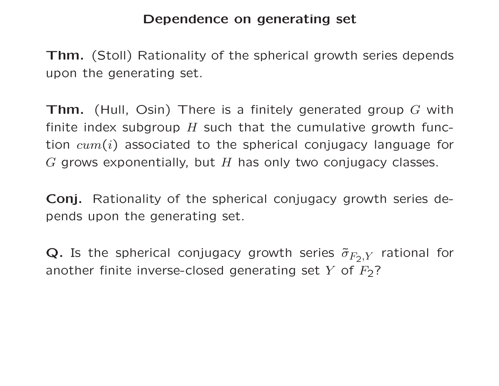# Dependence on generating set

Thm. (Stoll) Rationality of the spherical growth series depends upon the generating set.

**Thm.** (Hull, Osin) There is a finitely generated group G with finite index subgroup  $H$  such that the cumulative growth function  $cum(i)$  associated to the spherical conjugacy language for  $G$  grows exponentially, but  $H$  has only two conjugacy classes.

Conj. Rationality of the spherical conjugacy growth series depends upon the generating set.

 $\bf Q.$  Is the spherical conjugacy growth series  $\tilde{\sigma}_{F_2,Y}$  rational for another finite inverse-closed generating set  $Y$  of  $F_{\mathbf{2}}$ ?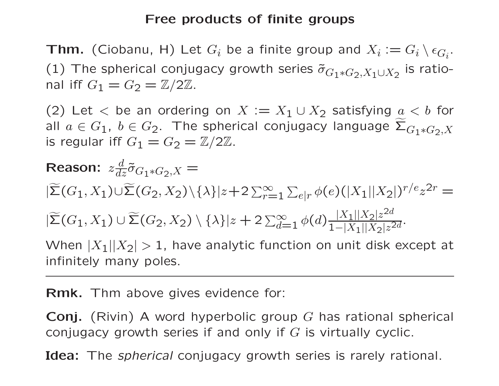## Free products of finite groups

**Thm.** (Ciobanu, H) Let  $G_i$  be a finite group and  $X_i := G_i \setminus \epsilon_{G_i}$ . (1) The spherical conjugacy growth series  $\tilde{\sigma}_{G_1*G_2, X_1\cup X_2}$  is rational iff  $G_1 = G_2 = \mathbb{Z}/2\mathbb{Z}$ .

(2) Let  $\langle$  be an ordering on  $X := X_1 \cup X_2$  satisfying  $a \langle b \rangle$  for all  $a \in G_1$ ,  $b \in G_2$ . The spherical conjugacy language  $\widetilde{\Sigma}_{G_1 * G_2, X}$ is regular iff  $G_1 = G_2 = \mathbb{Z}/2\mathbb{Z}$ .

**Reason:** 
$$
z \frac{d}{dz} \tilde{\sigma}_{G_1 * G_2, X} =
$$
  
\n $|\widetilde{\Sigma}(G_1, X_1) \cup \widetilde{\Sigma}(G_2, X_2) \setminus \{\lambda\}|z + 2 \sum_{r=1}^{\infty} \sum_{e|r} \phi(e)(|X_1||X_2|)^{r/e} z^{2r} =$   
\n $|\widetilde{\Sigma}(G_1, X_1) \cup \widetilde{\Sigma}(G_2, X_2) \setminus \{\lambda\}|z + 2 \sum_{d=1}^{\infty} \phi(d) \frac{|X_1||X_2| z^{2d}}{1 - |X_1||X_2| z^{2d}}$   
\nWhen |X\_1||X\_2| > 1 have analytic function on unit disk except at

When  $\bar{|X_1|}|X$ 1, have analytic function on unit disk except at infinitely many poles.

Rmk. Thm above gives evidence for:

**Conj.** (Rivin) A word hyperbolic group G has rational spherical conjugacy growth series if and only if  $G$  is virtually cyclic.

Idea: The *spherical* conjugacy growth series is rarely rational.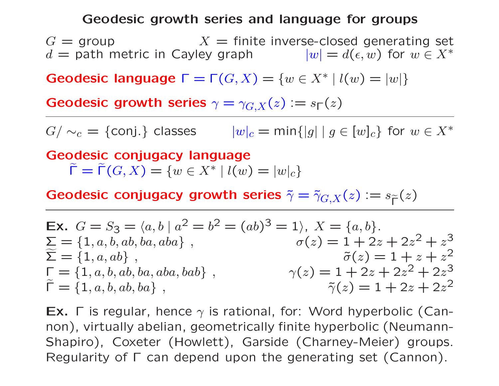## Geodesic growth series and language for groups

 $G =$  group  $X =$  finite inverse-closed generating set  $d =$  path metric in Cayley graph  $|w| = d(\epsilon, w)$  for  $w \in X^*$ 

Geodesic language  $\Gamma = \Gamma(G, X) = \{w \in X^* \mid l(w) = |w|\}$ 

Geodesic growth series  $\gamma=$  $\gamma_{G,X}(z) \vcentcolon= s_\mathsf{\Gamma}(z)$ 

 $G/\sim_c$  = {conj.} classes  $|w|_c = \min\{|g| \mid g \in [w]_c\}$  for  $w \in X^*$ 

Geodesic conjugacy language  $\widetilde{\mathsf{\Gamma}}=\widetilde{\mathsf{\Gamma}}(G,X)=\{w\in X^* \mid l(w)=|w|_c\}$ 

Geodesic conjugacy growth series  $\tilde{\gamma}=\tilde{\gamma}_{G,X}(z)$   $:=s_{\widetilde{\Gamma}}(z)$ 

**Ex.** 
$$
G = S_3 = \langle a, b | a^2 = b^2 = (ab)^3 = 1 \rangle
$$
,  $X = \{a, b\}$ .  
\n $\Sigma = \{1, a, b, ab, ba, aba\}$ ,  $\sigma(z) = 1 + 2z + 2z^2 + z^3$   
\n $\widetilde{\Sigma} = \{1, a, ab\}$ ,  $\widetilde{\sigma}(z) = 1 + z + z^2$   
\n $\Gamma = \{1, a, b, ab, ba, aba, bab\}$ ,  $\gamma(z) = 1 + 2z + 2z^2 + 2z^3$   
\n $\widetilde{\Gamma} = \{1, a, b, ab, ba\}$ ,  $\widetilde{\gamma}(z) = 1 + 2z + 2z^2$ 

Ex.  $\Gamma$  is regular, hence  $\gamma$  is rational, for: Word hyperbolic (Cannon), virtually abelian, geometrically finite hyperbolic (Neumann-Shapiro), Coxeter (Howlett), Garside (Charney-Meier) groups. Regularity of Γ can depend upon the generating set (Cannon).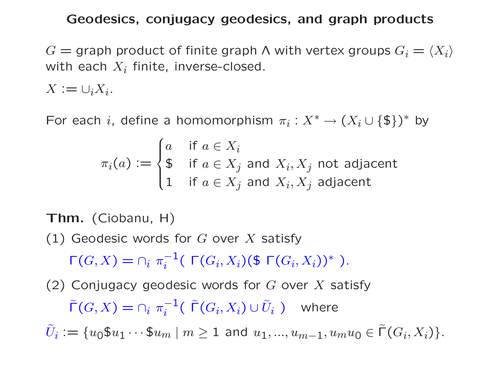## Geodesics, conjugacy geodesics, and graph products

 $G =$  graph product of finite graph  $\Lambda$  with vertex groups  $G_i = \langle X_i \rangle$ with each  $X_i$  finite, inverse-closed.

 $X := \cup_i X_i.$ 

For each i, define a homomorphism  $\pi_i: X^* \to (X_i \cup \{\$\})^*$  by

$$
\pi_i(a) := \begin{cases} a & \text{if } a \in X_i \\ \$ & \text{if } a \in X_j \text{ and } X_i, X_j \text{ not adjacent} \\ 1 & \text{if } a \in X_j \text{ and } X_i, X_j \text{ adjacent} \end{cases}
$$

Thm. (Ciobanu, H)

(1) Geodesic words for  $G$  over  $X$  satisfy

 $\Gamma(G,X)=\cap_i \pi$  $^{-1}_i$ ( Γ $(G_i,X_i)$ (\$ Γ $(G_i,X_i))^*$  ).

(2) Conjugacy geodesic words for  $G$  over  $X$  satisfy  $\widetilde{\Gamma}(G, X) = \cap_i \; \pi$ − 1  $\tilde{U}_i^{-1}(\;\widetilde{\mathsf{\Gamma}}(G_i,X_i)\cup \widetilde{U}_i\; )$  where  $\tilde{U}_i \mathrel{\mathop:}= \{u_0\$_{u_1}\cdots\$_{u_m}\ |\ m\geq 1\ \text{and}\ u_1,...,u_{m-1},u_mu_0\in \tilde{\mathsf{\Gamma}}(G_i,X_i)\}.$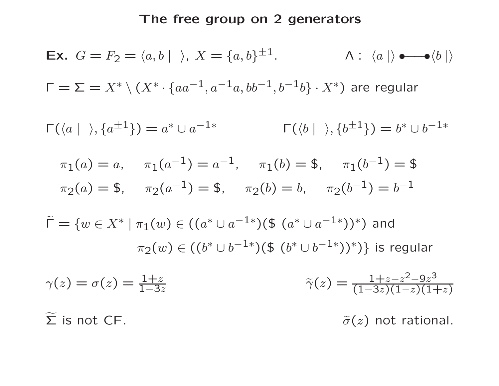# The free group on 2 generators

**Ex.** 
$$
G = F_2 = \langle a, b | \rangle
$$
,  $X = \{a, b\}^{\pm 1}$ .  $\wedge : \langle a | \rangle \bullet \bullet \langle b | \rangle$   
\n $\Gamma = \Sigma = X^* \setminus (X^* \cdot \{aa^{-1}, a^{-1}a, bb^{-1}, b^{-1}b\} \cdot X^*)$  are regular  
\n $\Gamma(\langle a | \rangle, \{a^{\pm 1}\}) = a^* \cup a^{-1*}$   $\Gamma(\langle b | \rangle, \{b^{\pm 1}\}) = b^* \cup b^{-1*}$   
\n $\pi_1(a) = a, \quad \pi_1(a^{-1}) = a^{-1}, \quad \pi_1(b) = \$, \quad \pi_1(b^{-1}) = \$$   
\n $\pi_2(a) = \$, \quad \pi_2(a^{-1}) = \$, \quad \pi_2(b) = b, \quad \pi_2(b^{-1}) = b^{-1}$   
\n $\tilde{\Gamma} = \{w \in X^* | \pi_1(w) \in ((a^* \cup a^{-1*})(\$ (a^* \cup a^{-1*}))^*) \text{ and } \pi_2(w) \in ((b^* \cup b^{-1*})(\$ (b^* \cup b^{-1*}))^*) \text{ } \}$  is regular  
\n $\gamma(z) = \sigma(z) = \frac{1+z}{1-3z}$   $\tilde{\gamma}(z) = \frac{1+z-z^2-9z^3}{(1-3z)(1-z)(1+z)}$   
\n $\tilde{\Sigma}$  is not CF.  $\tilde{\sigma}(z)$  not rational.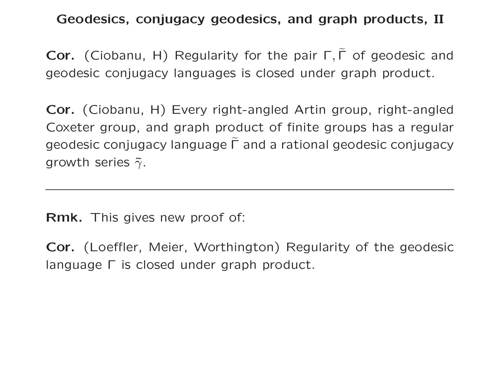Geodesics, conjugacy geodesics, and graph products, II

Cor. (Ciobanu, H) Regularity for the pair  $\Gamma$ ,  $\Gamma$  of geodesic and geodesic conjugacy languages is closed under graph product.

Cor. (Ciobanu, H) Every right-angled Artin group, right-angled Coxeter group, and graph product of finite groups has a regular geodesic conjugacy language  $\widetilde{\Gamma}$  and a rational geodesic conjugacy growth series  $\tilde{\gamma}$ .

Rmk. This gives new proof of:

Cor. (Loeffler, Meier, Worthington) Regularity of the geodesic language Γ is closed under graph product.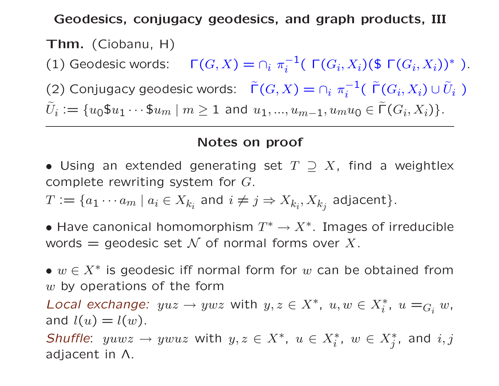Geodesics, conjugacy geodesics, and graph products, III

Thm. (Ciobanu, H) (1) Geodesic words:  $\Gamma(G,X) = \cap_i \pi$  $^{-1}_i$ ( Γ $(G_i,X_i)$ (\$ Γ $(G_i,X_i))^*$  ). (2) Conjugacy geodesic words:  $\ \ \widetilde{\mathsf{\Gamma}}(G,X)=\cap_i\ \pi_i$ − 1  $\tilde{\mathcal{F}}^{-1}(\;\widetilde{\mathsf{\Gamma}}(G_i,X_i)\cup \tilde{U}_i\; )$  $\widetilde{U}_i:=\{u_0\mathfrak{s}u_1\cdots\mathfrak{s}u_m\ |\ m\geq 1\ \text{and}\ u_1,...,u_{m-1},u_mu_0\in \widetilde{\mathsf{\Gamma}}(G_i,X_i)\}.$ 

## Notes on proof

- Using an extended generating set  $T \supseteq X$ , find a weightlex complete rewriting system for  $G.$
- $T:=\{a_1\cdots a_m\mid a_i\in X_{k_i} \text{ and } i\neq j \Rightarrow X_{k_i}, X_{k_j} \text{ adjacent}\}.$
- Have canonical homomorphism  $T^* \to X^*$ . Images of irreducible words  $=$  geodesic set  $\mathcal N$  of normal forms over  $X.$

•  $w \in X^*$  is geodesic iff normal form for  $w$  can be obtained from  $w$  by operations of the form

Local exchange:  $yuz \to ywz$  with  $y, z \in X^*$ ,  $u, w \in X^*_i$  $\sum_{i}^{*}$ ,  $u =$  $\, G_i \, \, w$  , and  $l(u) = l(w)$ .

*Shuffle*:  $yuwz \rightarrow ywuz$  with  $y, z \in X^*, u \in X^*_i$  $i^*,\ w\in X^*_j,$  and  $i,j$ adjacent in Λ.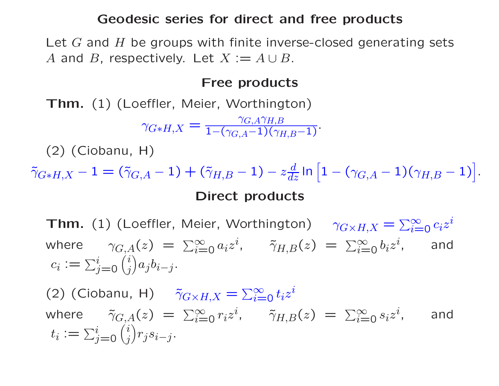#### Geodesic series for direct and free products

Let  $G$  and  $H$  be groups with finite inverse-closed generating sets A and B, respectively. Let  $X := A \cup B$ .

#### Free products

Thm. (1) (Loeffler, Meier, Worthington)

$$
\gamma_{G*H,X} = \frac{\gamma_{G,A}\gamma_{H,B}}{1-(\gamma_{G,A}-1)(\gamma_{H,B}-1)}.
$$

(2) (Ciobanu, H)

 $\tilde{\gamma}_{G \ast H, X} - 1 = (\tilde{\gamma}_{G, A} - 1) + (\tilde{\gamma}_{H, B} - 1) - z$  $\frac{d}{dz}$  In  $\Big[$  $\mathbf{1}-(\gamma_{G,A}-1)(\gamma_{H,B}-1)\big|.$ i Direct products

 ${\sf Thm.}$   $(1)$  (Loeffler, Meier, Worthington)  $\gamma_{G \times H,X}$  $=\sum_{i=1}^{\infty}$  $\sum\limits_{i=0}^{\infty} c_i z^i$ where  $\gamma_{G,A}(z) = \sum_{i=1}^{\infty}$  $\sum_{i=0}^{\infty} a_i z^i$ ,  $\tilde{\gamma}_{H,B}(z) = \sum_{i=0}^{\infty}$  $\sum\limits_{i=0}^{\infty}b_iz^i$ , and  $c_i \mathrel{\mathop:}= \sum$  $\it i$  $i$ <sub>j=0</sub> $($  $\it i$ j  $\begin{pmatrix} 1 \ 1 \end{pmatrix}$  $a_j b_{i-j}$ .

(2) (Ciobanu, H)  $\tilde{\gamma}_{G \times H,X}$  $=\sum_{i=1}^{\infty}$  $\sum\limits_{i=0}^{\infty}t_iz^i$ where  $\tilde{\gamma}_{G,A}(z) = \sum_{i=1}^{\infty}$  $\sum_{i=0}^{\infty} r_i z^i$ ,  $\tilde{\gamma}_{H,B}(z) = \sum_{i=0}^{\infty}$  $\sum\limits_{i=0}^{\infty}s_iz^i$ , and  $t_i \mathrel{\mathop:}= \sum$ i  $i_{j=0}$   $\binom{G}{j}$  $\it i$  $j$ ) $r_j s_{i-j}$ .  $\begin{pmatrix} 1 \ 1 \end{pmatrix}$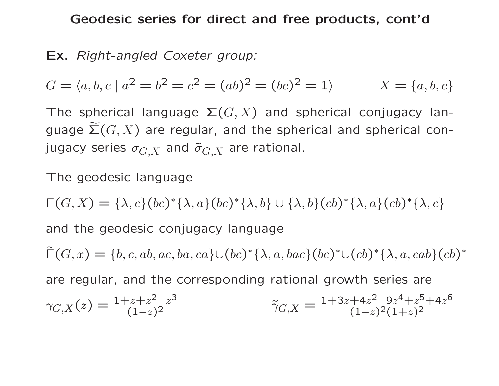Geodesic series for direct and free products, cont'd

# Ex. *Right-angled Coxeter group:*

$$
G = \langle a, b, c \mid a^2 = b^2 = c^2 = (ab)^2 = (bc)^2 = 1 \rangle \qquad X = \{a, b, c\}
$$

The spherical language  $\Sigma(G, X)$  and spherical conjugacy language  $\widetilde{\Sigma}(G,X)$  are regular, and the spherical and spherical conjugacy series  $\sigma_{G,X}$  and  $\tilde{\sigma}_{G,X}$  are rational.

The geodesic language

 $\Gamma(G, X) = {\lambda, c}(bc)^{*} {\lambda, a}(bc)^{*} {\lambda, b} \cup {\lambda, b}(cb)^{*} {\lambda, a}(cb)^{*} {\lambda, c}$ 

and the geodesic conjugacy language

 $\widetilde{\Gamma}(G,x)=\{b,c,ab,ac,ba,ca\} \cup (bc)^* \{\lambda,a,bac\} (bc)^* \cup (cb)^* \{\lambda,a,cab\} (cb)^*$ 

are regular, and the corresponding rational growth series are

$$
\gamma_{G,X}(z) = \frac{1+z+z^2-z^3}{(1-z)^2} \qquad \qquad \tilde{\gamma}_{G,X} = \frac{1+3z+4z^2-9z^4+z^5+4z^6}{(1-z)^2(1+z)^2}
$$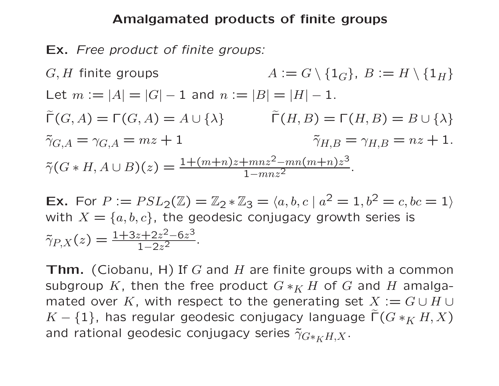### Amalgamated products of finite groups

Ex. *Free product of finite groups:*

 $G, H$  finite groups  $A := G \setminus \{1_G\}, B := H \setminus \{1_H\}$ Let  $m := |A| = |G| - 1$  and  $n := |B| = |H| - 1$ .  $\widetilde{\Gamma}(G,A) = \Gamma(G,A) = A \cup \{\lambda\}$   $\widetilde{\Gamma}(H,B) = \Gamma(H,B) = B \cup \{\lambda\}$  $\tilde{\gamma}_{G,A}$ =  $\gamma_{G,A}=mz+1$   $\tilde{\gamma}_{H,B}$ =  $\gamma_{H,B} = nz + 1.$  $\tilde{\gamma}(G * H, A \cup B)(z) = \frac{1 + (m+n)z + mnz^2 - mn(m+n)z^3}{1 - mnz^2}$  $\overline{1-mnz^2}$ .

Ex. For  $P:=\mathop{PSL}\nolimits_2(\mathbb{Z})=\mathbb{Z}_2\ast\mathbb{Z}_3=\langle a,b,c \mid a^2=1, b^2=c, bc=1\rangle$ with  $X = \{a, b, c\}$ , the geodesic conjugacy growth series is  $\tilde{\gamma}_{P,X}(z) = \frac{1+3z+2z^2-6z^3}{1-2z^2}$  $\frac{1-2z^2}{z-2z-2}$ 

**Thm.** (Ciobanu, H) If G and H are finite groups with a common subgroup K, then the free product  $G *_K H$  of  $G$  and  $H$  amalgamated over K, with respect to the generating set  $X := G \cup H \cup$  $K - \{1\}$ , has regular geodesic conjugacy language  $\widetilde{\Gamma}(G *_{K} H,X)$ and rational geodesic conjugacy series  $\tilde{\gamma}_{G*_{K}H,X}.$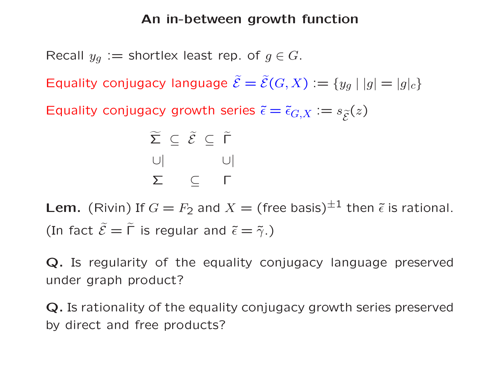# An in-between growth function

Recall  $y_g:=$  shortlex least rep. of  $g\in G.$ 

Equality conjugacy language  $\widetilde{\mathcal{E}} = \widetilde{\mathcal{E}}(G,X) := \{y_g \mid |g| = |g|_c\}$ 

Equality conjugacy growth series  $\tilde{\epsilon} = \tilde{\epsilon}_{G,X} := s_{\widetilde{\mathcal{E}}}(z)$ 

$$
\widetilde{\Sigma} \subseteq \widetilde{\mathcal{E}} \subseteq \widetilde{\Gamma}
$$
\n
$$
\cup \vert \qquad \qquad \cup \vert
$$
\n
$$
\Sigma \qquad \subseteq \qquad \Gamma
$$

Lem. (Rivin) If  $G=F_2$  and  $X=$  (free basis) $^{\pm 1}$  then  $\tilde \epsilon$  is rational. (In fact  $\widetilde{\mathcal{E}}=\widetilde{\Gamma}$  is regular and  $\widetilde{\epsilon}=\widetilde{\gamma}$ .)

Q. Is regularity of the equality conjugacy language preserved under graph product?

Q. Is rationality of the equality conjugacy growth series preserved by direct and free products?